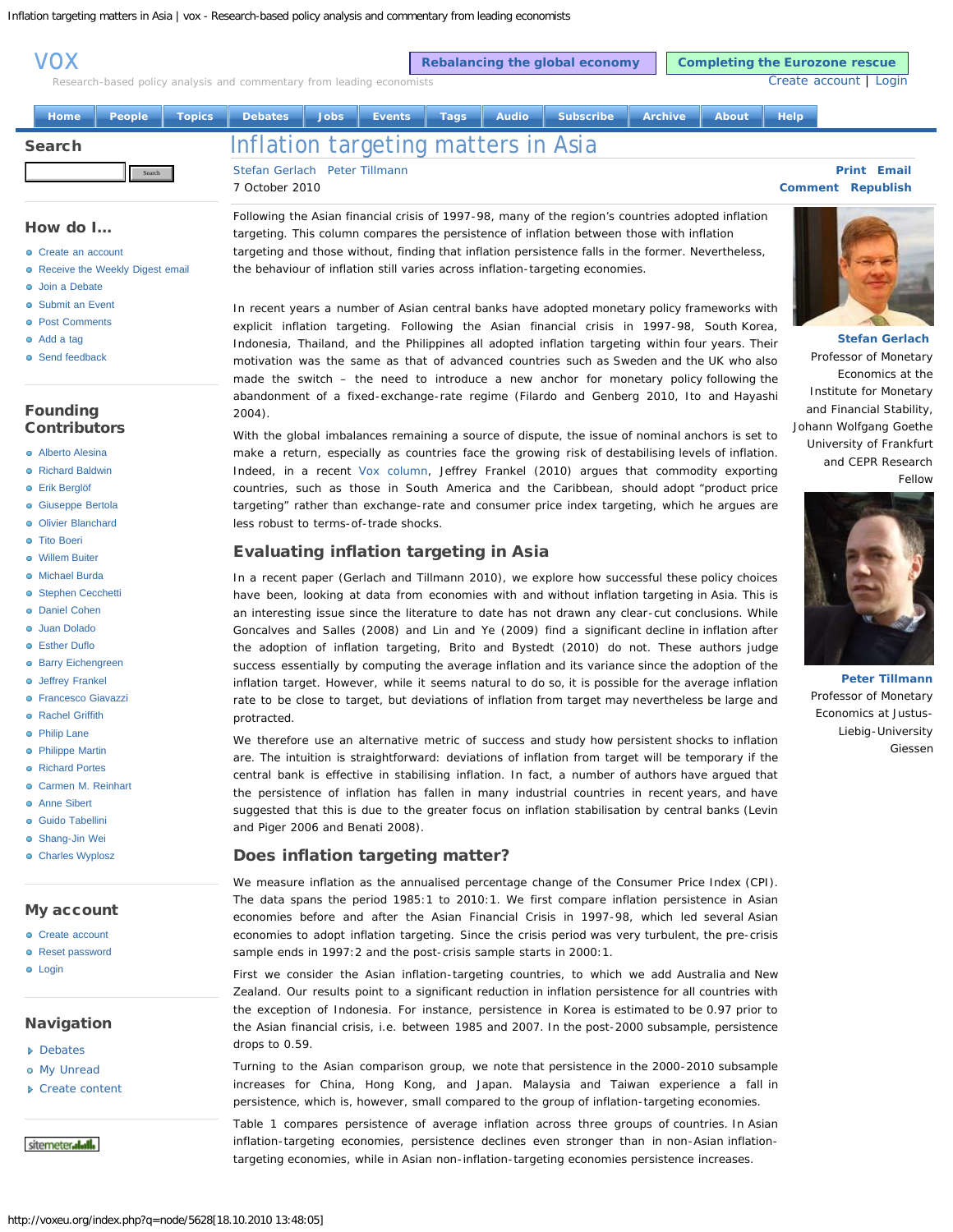<span id="page-0-0"></span>[vox](http://voxeu.org/)

**[Rebalancing the global economy](http://voxeu.org/index.php?q=node/5219) | [Completing the Eurozone rescue](http://voxeu.org/index.php?q=node/5194)** 

[Create account](http://voxeu.org/index.php?q=user/register) | [Login](http://voxeu.org/index.php?q=user/login&destination=node%2F5628)

Research-based policy analysis and commentary from leading economists

|  | <b>Home</b>   |        |  |                                     |  |  |  |  | People Topics Debates Jobs Events Tags Audio Subscribe Archive About |  | <b>Help</b>              |                    |  |
|--|---------------|--------|--|-------------------------------------|--|--|--|--|----------------------------------------------------------------------|--|--------------------------|--------------------|--|
|  | <b>Search</b> |        |  | Inflation targeting matters in Asia |  |  |  |  |                                                                      |  |                          |                    |  |
|  |               | Search |  | Stefan Gerlach Peter Tillmann       |  |  |  |  |                                                                      |  |                          | <b>Print Email</b> |  |
|  |               |        |  | 7 October 2010.                     |  |  |  |  |                                                                      |  | <b>Comment Republish</b> |                    |  |

#### How do I...

- [Create an account](http://voxeu.org/index.php?q=node/255)
- **[Receive the Weekly Digest email](http://voxeu.org/index.php?q=node/1313)**
- **o** [Join a Debate](http://voxeu.org/index.php?q=node/5578)
- **o** [Submit an Event](http://www.voxeu.org/index.php?q=node/1418)
- **e** [Post Comments](http://voxeu.org/index.php?q=node/254)
- [Add a tag](http://voxeu.org/index.php?q=node/253)
- 
- **o** [Send feedback](http://voxeu.org/index.php?q=feedback)

# Founding **Contributors**

- [Alberto Alesina](http://voxeu.org/index.php?q=node/95)
- **a** [Richard Baldwin](http://voxeu.org/index.php?q=node/45)
- [Erik Berglöf](http://voxeu.org/index.php?q=node/434)
- **·** [Giuseppe Bertola](http://voxeu.org/index.php?q=node/47)
- **o** [Olivier Blanchard](http://voxeu.org/index.php?q=node/63)
- **a** [Tito Boeri](http://voxeu.org/index.php?q=node/49)
- [Willem Buiter](http://voxeu.org/index.php?q=node/50)
- [Michael Burda](http://voxeu.org/index.php?q=node/97)
- **·** [Stephen Cecchetti](http://voxeu.org/index.php?q=node/99)
- [Daniel Cohen](http://voxeu.org/index.php?q=node/100)
- [Juan Dolado](http://voxeu.org/index.php?q=node/51)
- [Esther Duflo](http://voxeu.org/index.php?q=node/200)
- **o** [Barry Eichengreen](http://voxeu.org/index.php?q=node/101)
- [Jeffrey Frankel](http://voxeu.org/index.php?q=node/102)
- **·** [Francesco Giavazzi](http://voxeu.org/index.php?q=node/103)
- **e** [Rachel Griffith](http://voxeu.org/index.php?q=node/201)
- [Philip Lane](http://voxeu.org/index.php?q=node/104)
- [Philippe Martin](http://voxeu.org/index.php?q=node/105)
- [Richard Portes](http://voxeu.org/index.php?q=node/52)
- [Carmen M. Reinhart](http://voxeu.org/index.php?q=node/987)
- **a** [Anne Sibert](http://voxeu.org/index.php?q=node/106)
- **[Guido Tabellini](http://voxeu.org/index.php?q=node/66)**
- [Shang-Jin Wei](http://voxeu.org/index.php?q=node/146)
- [Charles Wyplosz](http://voxeu.org/index.php?q=node/53)

## My account

- [Create account](http://voxeu.org/index.php?q=user/register)
- [Reset password](http://voxeu.org/index.php?q=user/password)
- **o** [Login](http://voxeu.org/index.php?q=user/login&destination=node%2F5628)

#### **Navigation**

- **[Debates](http://voxeu.org/index.php?q=og)**
- [My Unread](http://voxeu.org/index.php?q=group)
- ▶ [Create content](http://voxeu.org/index.php?q=node/add)
- sitemeteralall.

http://voxeu.org/index.php?q=node/5628[18.10.2010 13:48:05]

explicit inflation targeting. Following the Asian financial crisis in 1997-98, South Korea, Indonesia, Thailand, and the Philippines all adopted inflation targeting within four years. Their motivation was the same as that of advanced countries such as Sweden and the UK who also made the switch – the need to introduce a new anchor for monetary policy following the abandonment of a fixed-exchange-rate regime (Filardo and Genberg 2010, Ito and Hayashi 2004).

With the global imbalances remaining a source of dispute, the issue of nominal anchors is set to make a return, especially as countries face the growing risk of destabilising levels of inflation. Indeed, in a recent [Vox column](http://voxeu.org/index.php?q=node/5595), Jeffrey Frankel (2010) argues that commodity exporting countries, such as those in South America and the Caribbean, should adopt "product price targeting" rather than exchange-rate and consumer price index targeting, which he argues are less robust to terms-of-trade shocks.

# Evaluating inflation targeting in Asia

In a recent paper (Gerlach and Tillmann 2010), we explore how successful these policy choices have been, looking at data from economies with and without inflation targeting in Asia. This is an interesting issue since the literature to date has not drawn any clear-cut conclusions. While Goncalves and Salles (2008) and Lin and Ye (2009) find a significant decline in inflation after the adoption of inflation targeting, Brito and Bystedt (2010) do not. These authors judge success essentially by computing the average inflation and its variance since the adoption of the inflation target. However, while it seems natural to do so, it is possible for the average inflation rate to be close to target, but deviations of inflation from target may nevertheless be large and protracted.

We therefore use an alternative metric of success and study how persistent shocks to inflation are. The intuition is straightforward: deviations of inflation from target will be temporary if the central bank is effective in stabilising inflation. In fact, a number of authors have argued that the persistence of inflation has fallen in many industrial countries in recent years, and have suggested that this is due to the greater focus on inflation stabilisation by central banks (Levin and Piger 2006 and Benati 2008).

# Does inflation targeting matter?

We measure inflation as the annualised percentage change of the Consumer Price Index (CPI). The data spans the period 1985:1 to 2010:1. We first compare inflation persistence in Asian economies before and after the Asian Financial Crisis in 1997-98, which led several Asian economies to adopt inflation targeting. Since the crisis period was very turbulent, the pre-crisis sample ends in 1997:2 and the post-crisis sample starts in 2000:1.

First we consider the Asian inflation-targeting countries, to which we add Australia and New Zealand. Our results point to a significant reduction in inflation persistence for all countries with the exception of Indonesia. For instance, persistence in Korea is estimated to be 0.97 prior to the Asian financial crisis, i.e. between 1985 and 2007. In the post-2000 subsample, persistence drops to 0.59.

Turning to the Asian comparison group, we note that persistence in the 2000-2010 subsample increases for China, Hong Kong, and Japan. Malaysia and Taiwan experience a fall in persistence, which is, however, small compared to the group of inflation-targeting economies.

Table 1 compares persistence of average inflation across three groups of countries. In Asian inflation-targeting economies, persistence declines even stronger than in non-Asian inflationtargeting economies, while in Asian non-inflation-targeting economies persistence increases.

In recent years a number of Asian central banks have adopted monetary policy frameworks with

*Following the Asian financial crisis of 1997-98, many of the region's countries adopted inflation targeting. This column compares the persistence of inflation between those with inflation targeting and those without, finding that inflation persistence falls in the former. Nevertheless, the behaviour of inflation still varies across inflation-targeting economies.*





**[Peter Tillmann](http://voxeu.org/index.php?q=node/5627)** Professor of Monetary Economics at Justus-Liebig-University Giessen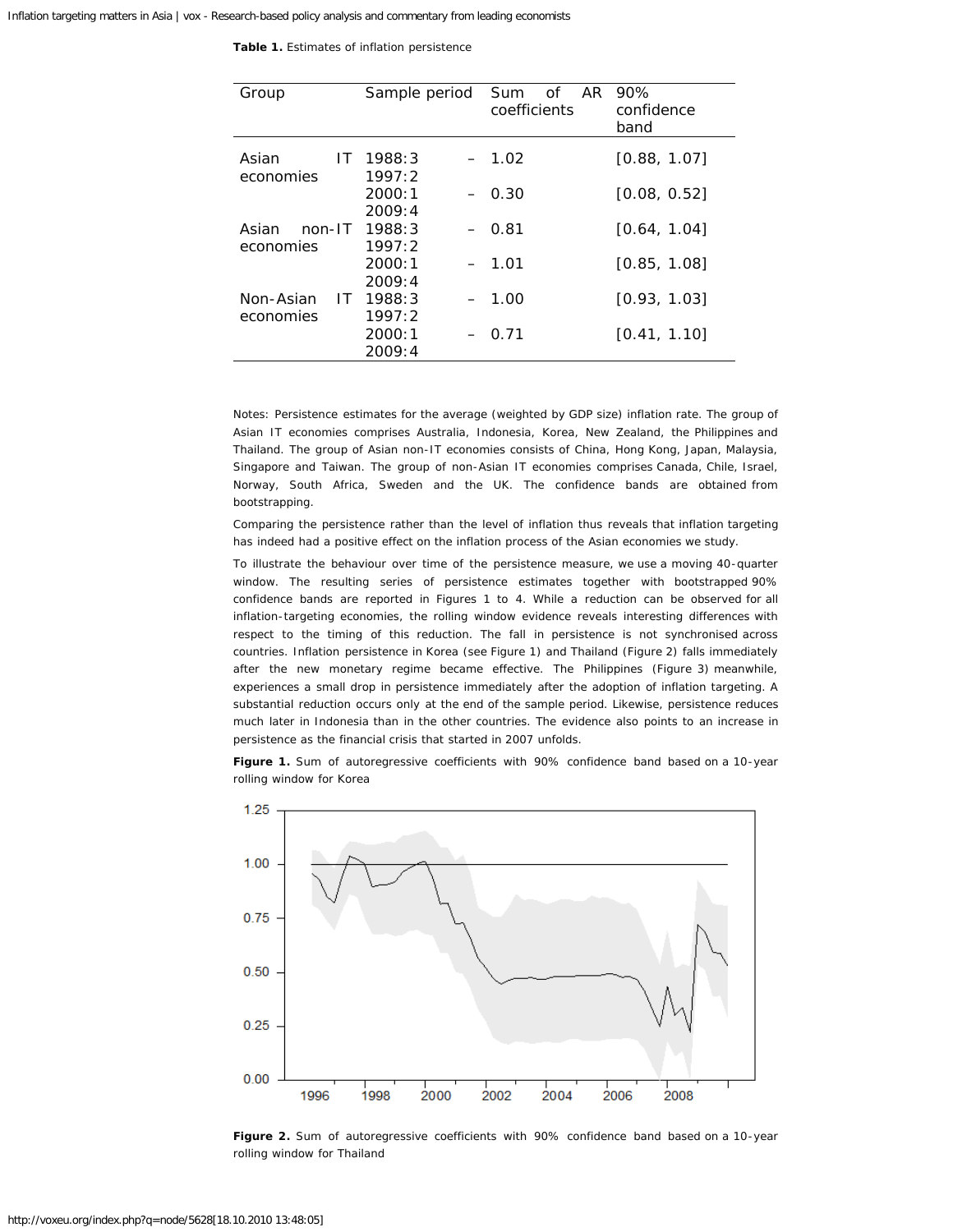| Table 1. Estimates of inflation persistence |  |
|---------------------------------------------|--|
|---------------------------------------------|--|

| Group                         | Sample period    | 0f<br>AR.<br>Sum<br>coefficients | 90%<br>confidence<br>band |
|-------------------------------|------------------|----------------------------------|---------------------------|
| Asian<br>IT.<br>economies     | 1988:3<br>1997:2 | $-1.02$                          | [0.88, 1.07]              |
|                               | 2000:1<br>2009:4 | $-0.30$                          | [0.08, 0.52]              |
| Asian<br>$non-I$<br>economies | 1988:3<br>1997:2 | $-0.81$                          | [0.64, 1.04]              |
|                               | 2000:1<br>2009:4 | $-1.01$                          | [0.85, 1.08]              |
| Non-Asian<br>IT.<br>economies | 1988:3<br>1997:2 | $-1.00$                          | [0.93, 1.03]              |
|                               | 2000:1<br>2009:4 | 0.71                             | [0.41, 1.10]              |

*Notes: Persistence estimates for the average (weighted by GDP size) inflation rate. The group of Asian IT economies comprises Australia, Indonesia, Korea, New Zealand, the Philippines and Thailand. The group of Asian non-IT economies consists of China, Hong Kong, Japan, Malaysia, Singapore and Taiwan. The group of non-Asian IT economies comprises Canada, Chile, Israel, Norway, South Africa, Sweden and the UK. The confidence bands are obtained from bootstrapping.*

Comparing the persistence rather than the level of inflation thus reveals that inflation targeting has indeed had a positive effect on the inflation process of the Asian economies we study.

To illustrate the behaviour over time of the persistence measure, we use a moving 40-quarter window. The resulting series of persistence estimates together with bootstrapped 90% confidence bands are reported in Figures 1 to 4. While a reduction can be observed for all inflation-targeting economies, the rolling window evidence reveals interesting differences with respect to the timing of this reduction. The fall in persistence is not synchronised across countries. Inflation persistence in Korea (see Figure 1) and Thailand (Figure 2) falls immediately after the new monetary regime became effective. The Philippines (Figure 3) meanwhile, experiences a small drop in persistence immediately after the adoption of inflation targeting. A substantial reduction occurs only at the end of the sample period. Likewise, persistence reduces much later in Indonesia than in the other countries. The evidence also points to an increase in persistence as the financial crisis that started in 2007 unfolds.

**Figure 1.** Sum of autoregressive coefficients with 90% confidence band based on a 10-year rolling window for Korea



**Figure 2.** Sum of autoregressive coefficients with 90% confidence band based on a 10-year rolling window for Thailand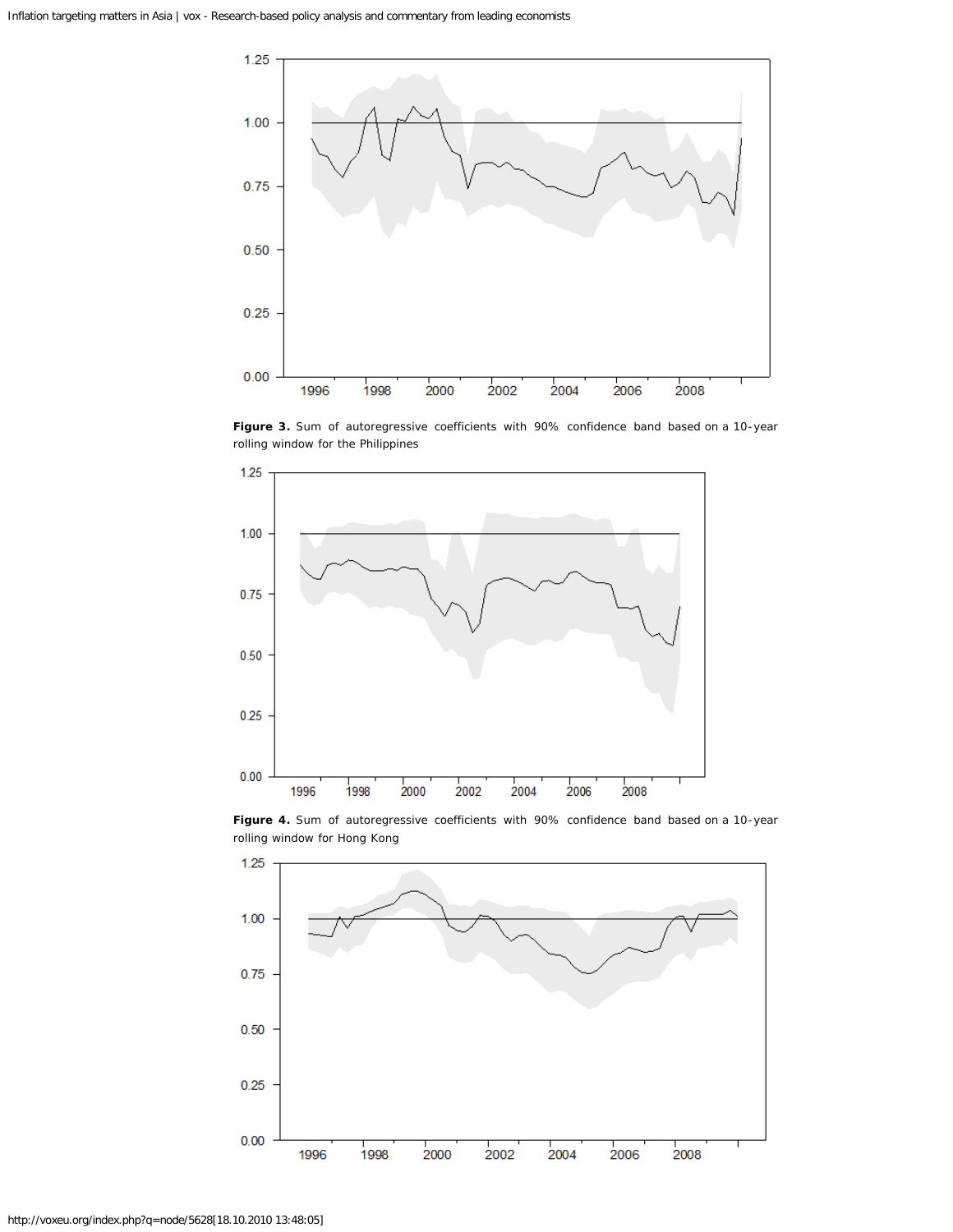

Figure 3. Sum of autoregressive coefficients with 90% confidence band based on a 10-year rolling window for the Philippines



**Figure 4.** Sum of autoregressive coefficients with 90% confidence band based on a 10-year rolling window for Hong Kong